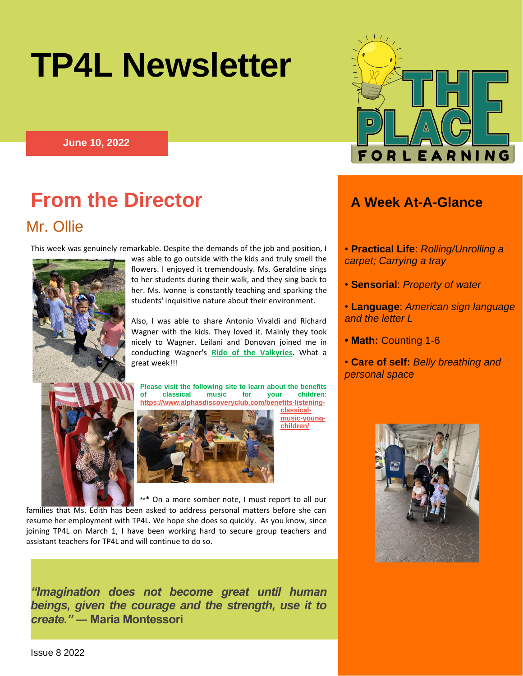# **TP4L Newsletter**

**June 10, 2022**



Mr. Ollie

This week was genuinely remarkable. Despite the demands of the job and position, I



was able to go outside with the kids and truly smell the flowers. I enjoyed it tremendously. Ms. Geraldine sings to her students during their walk, and they sing back to her. Ms. Ivonne is constantly teaching and sparking the students' inquisitive nature about their environment.

Also, I was able to share Antonio Vivaldi and Richard Wagner with the kids. They loved it. Mainly they took nicely to Wagner. Leilani and Donovan joined me in conducting Wagner's **Ride of the Valkyries**. What a great week!!!

**Please visit the following site to learn about the benefits of classical music for your children: [https://www.alphasdiscoveryclub.com/benefits-listening-](https://www.alphasdiscoveryclub.com/benefits-listening-classical-music-young-children/)**



**[classical](https://www.alphasdiscoveryclub.com/benefits-listening-classical-music-young-children/)[music-young](https://www.alphasdiscoveryclub.com/benefits-listening-classical-music-young-children/)[children/](https://www.alphasdiscoveryclub.com/benefits-listening-classical-music-young-children/)**

\*\*\* On a more somber note, I must report to all our families that Ms. Edith has been asked to address personal matters before she can resume her employment with TP4L. We hope she does so quickly. As you know, since joining TP4L on March 1, I have been working hard to secure group teachers and assistant teachers for TP4L and will continue to do so.

*"Imagination does not become great until human beings, given the courage and the strength, use it to create."* **― Maria Montessori**



- **Practical Life**: *Rolling/Unrolling a carpet; Carrying a tray*
- **Sensorial**: *Property of water*
- **Language**: *American sign language and the letter L*
- **Math:** Counting 1-6
- **Care of self:** *Belly breathing and personal space*

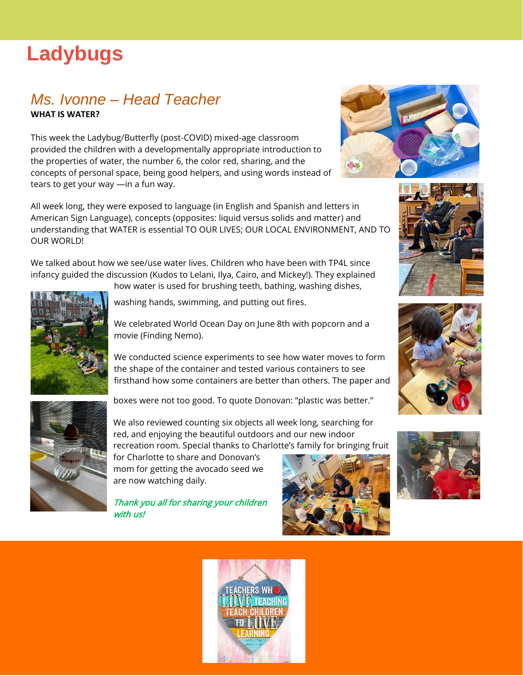## **Ladybugs**

#### *Ms. Ivonne – Head Teacher*  **WHAT IS WATER?**

This week the Ladybug/Butterfly (post-COVID) mixed-age classroom provided the children with a developmentally appropriate introduction to the properties of water, the number 6, the color red, sharing, and the concepts of personal space, being good helpers, and using words instead of tears to get your way —in a fun way.

All week long, they were exposed to language (in English and Spanish and letters in American Sign Language), concepts (opposites: liquid versus solids and matter) and understanding that WATER is essential TO OUR LIVES; OUR LOCAL ENVIRONMENT, AND TO OUR WORLD!

We talked about how we see/use water lives. Children who have been with TP4L since infancy guided the discussion (Kudos to Lelani, Ilya, Cairo, and Mickey!). They explained how water is used for brushing teeth, bathing, washing dishes,



washing hands, swimming, and putting out fires.

We celebrated World Ocean Day on June 8th with popcorn and a movie (Finding Nemo).

We conducted science experiments to see how water moves to form the shape of the container and tested various containers to see firsthand how some containers are better than others. The paper and



boxes were not too good. To quote Donovan: "plastic was better."

We also reviewed counting six objects all week long, searching for red, and enjoying the beautiful outdoors and our new indoor recreation room. Special thanks to Charlotte's family for bringing fruit

for Charlotte to share and Donovan's mom for getting the avocado seed we are now watching daily.

Thank you all for sharing your children with us!











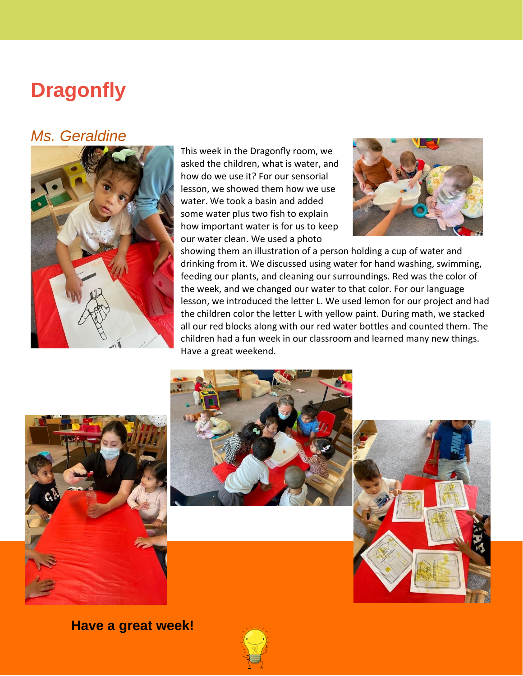## **Dragonfly**

### *Ms. Geraldine*



This week in the Dragonfly room, we asked the children, what is water, and how do we use it? For our sensorial lesson, we showed them how we use water. We took a basin and added some water plus two fish to explain how important water is for us to keep our water clean. We used a photo



showing them an illustration of a person holding a cup of water and drinking from it. We discussed using water for hand washing, swimming, feeding our plants, and cleaning our surroundings. Red was the color of the week, and we changed our water to that color. For our language lesson, we introduced the letter L. We used lemon for our project and had the children color the letter L with yellow paint. During math, we stacked all our red blocks along with our red water bottles and counted them. The children had a fun week in our classroom and learned many new things. Have a great weekend.







**Have a great week!**